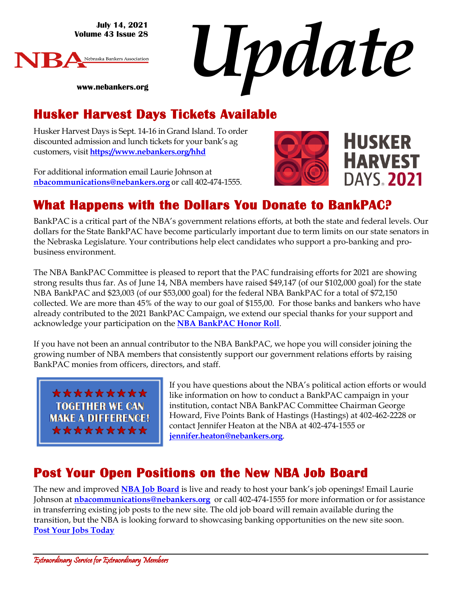**July 14, 2021 Volume 43 Issue 28**





#### **www.nebankers.org**

#### **Husker Harvest Days Tickets Available**

Husker Harvest Days is Sept. 14-16 in Grand Island. To order discounted admission and lunch tickets for your bank's ag customers, visit **[https://www.nebankers.org/hhd](https://www.nebankers.org/hhd.html)**

For additional information email Laurie Johnson at **[nbacommunications@nebankers.org](mailto:nbacommunications@nebankers.org)** or call 402-474-1555.



# **HUSKER HARVEST DAYS. 2021**

#### **What Happens with the Dollars You Donate to BankPAC?**

BankPAC is a critical part of the NBA's government relations efforts, at both the state and federal levels. Our dollars for the State BankPAC have become particularly important due to term limits on our state senators in the Nebraska Legislature. Your contributions help elect candidates who support a pro-banking and probusiness environment.

The NBA BankPAC Committee is pleased to report that the PAC fundraising efforts for 2021 are showing strong results thus far. As of June 14, NBA members have raised \$49,147 (of our \$102,000 goal) for the state NBA BankPAC and \$23,003 (of our \$53,000 goal) for the federal NBA BankPAC for a total of \$72,150 collected. We are more than 45% of the way to our goal of \$155,00. For those banks and bankers who have already contributed to the 2021 BankPAC Campaign, we extend our special thanks for your support and acknowledge your participation on the **[NBA BankPAC Honor Roll](http://www.nebankers.org/uploads/8/1/6/4/81640974/2021-bankpac-honor-roll.pdf)**.

If you have not been an annual contributor to the NBA BankPAC, we hope you will consider joining the growing number of NBA members that consistently support our government relations efforts by raising BankPAC monies from officers, directors, and staff.

\*\*\*\*\*\*\*\*\* **TOGETHER WE CAN MAKE A DIFFERENCE!** \*\*\*\*\*\*\*\*\*

If you have questions about the NBA's political action efforts or would like information on how to conduct a BankPAC campaign in your institution, contact NBA BankPAC Committee Chairman George Howard, Five Points Bank of Hastings (Hastings) at 402-462-2228 or contact Jennifer Heaton at the NBA at 402-474-1555 or **[jennifer.heaton@nebankers.org](mailto:jennifer.heaton@nebankers.org)**.

#### **Post Your Open Positions on the New NBA Job Board**

The new and improved **[NBA Job Board](https://nebankers.mcjobboard.net/jobs)** is live and ready to host your bank's job openings! Email Laurie Johnson at **[nbacommunications@nebankers.org](mailto:nbacommunications@nebankers.org)** or call 402-474-1555 for more information or for assistance in transferring existing job posts to the new site. The old job board will remain available during the transition, but the NBA is looking forward to showcasing banking opportunities on the new site soon. **[Post Your Jobs Today](https://www.nebankers.org/post-job.html)**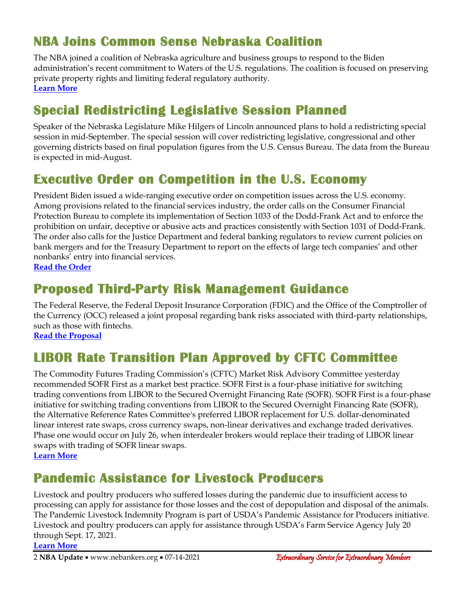#### **NBA Joins Common Sense Nebraska Coalition**

The NBA joined a coalition of Nebraska agriculture and business groups to respond to the Biden administration's recent commitment to Waters of the U.S. regulations. The coalition is focused on preserving private property rights and limiting federal regulatory authority. **[Learn More](https://www.nefb.org/newsroom/news-releases/3666-nebraska-coaliton-reunites-to-engage-in-waters-of-the-u-s-wotus-rule-rewrite)**

#### **Special Redistricting Legislative Session Planned**

Speaker of the Nebraska Legislature Mike Hilgers of Lincoln announced plans to hold a redistricting special session in mid-September. The special session will cover redistricting legislative, congressional and other governing districts based on final population figures from the U.S. Census Bureau. The data from the Bureau is expected in mid-August.

#### **Executive Order on Competition in the U.S. Economy**

President Biden issued a wide-ranging executive order on competition issues across the U.S. economy. Among provisions related to the financial services industry, the order calls on the Consumer Financial Protection Bureau to complete its implementation of Section 1033 of the Dodd-Frank Act and to enforce the prohibition on unfair, deceptive or abusive acts and practices consistently with Section 1031 of Dodd-Frank. The order also calls for the Justice Department and federal banking regulators to review current policies on bank mergers and for the Treasury Department to report on the effects of large tech companies' and other nonbanks' entry into financial services.

**[Read the Order](https://www.whitehouse.gov/briefing-room/presidential-actions/2021/07/09/executive-order-on-promoting-competition-in-the-american-economy/)**

#### **Proposed Third-Party Risk Management Guidance**

The Federal Reserve, the Federal Deposit Insurance Corporation (FDIC) and the Office of the Comptroller of the Currency (OCC) released a joint proposal regarding bank risks associated with third-party relationships, such as those with fintechs.

**[Read the Proposal](https://www.fdic.gov/news/press-releases/2021/pr21061a.pdf)**

#### **LIBOR Rate Transition Plan Approved by CFTC Committee**

The Commodity Futures Trading Commission's (CFTC) Market Risk Advisory Committee yesterday recommended SOFR First as a market best practice. SOFR First is a four-phase initiative for switching trading conventions from LIBOR to the Secured Overnight Financing Rate (SOFR). SOFR First is a four-phase initiative for switching trading conventions from LIBOR to the Secured Overnight Financing Rate (SOFR), the Alternative Reference Rates Committee's preferred LIBOR replacement for U.S. dollar-denominated linear interest rate swaps, cross currency swaps, non-linear derivatives and exchange traded derivatives. Phase one would occur on July 26, when interdealer brokers would replace their trading of LIBOR linear swaps with trading of SOFR linear swaps. **[Learn More](https://www.cftc.gov/PressRoom/PressReleases/8409-21)**

#### **Pandemic Assistance for Livestock Producers**

Livestock and poultry producers who suffered losses during the pandemic due to insufficient access to processing can apply for assistance for those losses and the cost of depopulation and disposal of the animals. The Pandemic Livestock Indemnity Program is part of USDA's Pandemic Assistance for Producers initiative. Livestock and poultry producers can apply for assistance through USDA's Farm Service Agency July 20 through Sept. 17, 2021.

**[Learn More](https://www.fsa.usda.gov/news-room/news-releases/2021/usda-to-provide-pandemic-assistance-to-livestock-producers-for-animal-losses)**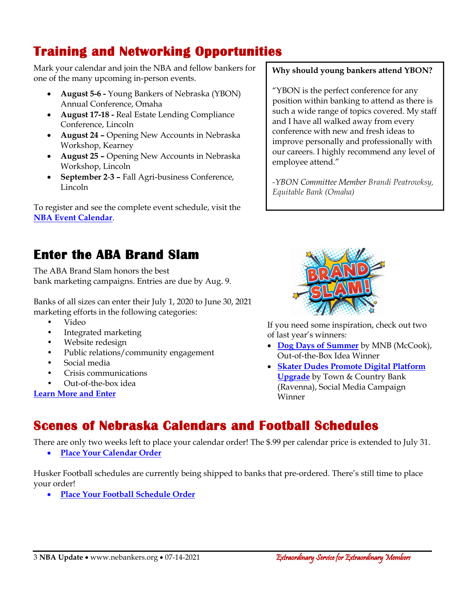## **Training and Networking Opportunities**

Mark your calendar and join the NBA and fellow bankers for one of the many upcoming in-person events.

- **August 5-6 -** Young Bankers of Nebraska (YBON) Annual Conference, Omaha
- **August 17-18 -** Real Estate Lending Compliance Conference, Lincoln
- **August 24 –** Opening New Accounts in Nebraska Workshop, Kearney
- **August 25 –** Opening New Accounts in Nebraska Workshop, Lincoln
- **September 2**-**3 –** Fall Agri-business Conference, Lincoln

To register and see the complete event schedule, visit the **[NBA Event Calendar](https://web.nebankers.org/events)**.

#### **Why should young bankers attend YBON?**

"YBON is the perfect conference for any position within banking to attend as there is such a wide range of topics covered. My staff and I have all walked away from every conference with new and fresh ideas to improve personally and professionally with our careers. I highly recommend any level of employee attend."

*-YBON Committee Member Brandi Peatrowksy, Equitable Bank (Omaha)*

#### **Enter the ABA Brand Slam**

The ABA Brand Slam honors the best bank marketing campaigns. Entries are due by Aug. 9.

Banks of all sizes can enter their July 1, 2020 to June 30, 2021 marketing efforts in the following categories:

- Video
- Integrated marketing
- Website redesign
- Public relations/community engagement
- Social media
- Crisis communications
- Out-of-the-box idea

**[Learn More and Enter](https://www.aba.com/banking-topics/communications/marketing/brand-slam)**



If you need some inspiration, check out two of last year's winners:

- **[Dog Days of Summer](https://www.youtube.com/watch?v=9cdnqJr6X58)** by MNB (McCook), Out-of-the-Box Idea Winner
- **[Skater Dudes Promote Digital Platform](https://www.youtube.com/watch?v=cINbG6VPmaI)  [Upgrade](https://www.youtube.com/watch?v=cINbG6VPmaI)** by Town & Country Bank (Ravenna), Social Media Campaign Winner

#### **Scenes of Nebraska Calendars and Football Schedules**

There are only two weeks left to place your calendar order! The \$.99 per calendar price is extended to July 31.

• **[Place Your Calendar Order](https://www.nebankers.org/calendars.html)**

Husker Football schedules are currently being shipped to banks that pre-ordered. There's still time to place your order!

• **[Place Your Football Schedule Order](https://www.nebankers.org/footballschedules.html)**